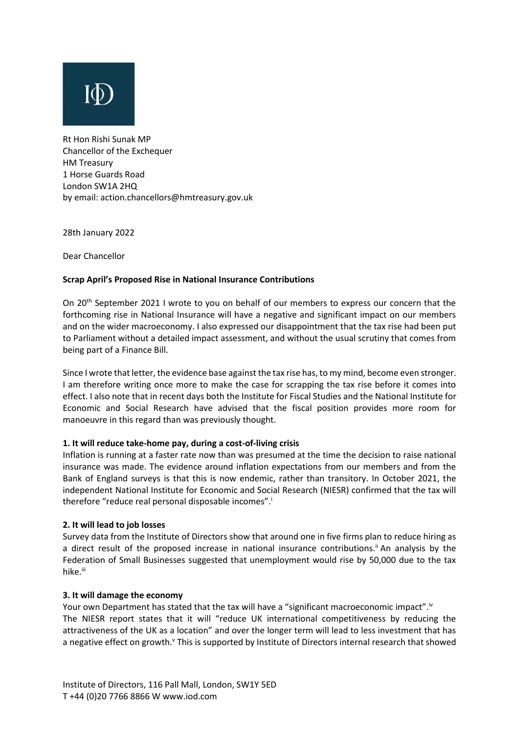Rt Hon Rishi Sunak MP Chancellor of the Exchequer HM Treasury 1 Horse Guards Road London SW1A 2HQ by email: action.chancellors@hmtreasury.gov.uk

28th January 2022

Dear Chancellor

## **Scrap April's Proposed Rise in National Insurance Contributions**

On 20<sup>th</sup> September 2021 I wrote to you on behalf of our members to express our concern that the forthcoming rise in National Insurance will have a negative and significant impact on our members and on the wider macroeconomy. I also expressed our disappointment that the tax rise had been put to Parliament without a detailed impact assessment, and without the usual scrutiny that comes from being part of a Finance Bill.

Since I wrote that letter, the evidence base against the tax rise has, to my mind, become even stronger. I am therefore writing once more to make the case for scrapping the tax rise before it comes into effect. I also note that in recent days both the Institute for Fiscal Studies and the National Institute for Economic and Social Research have advised that the fiscal position provides more room for manoeuvre in this regard than was previously thought.

### **1. It will reduce take-home pay, during a cost-of-living crisis**

Inflation is running at a faster rate now than was presumed at the time the decision to raise national insurance was made. The evidence around inflation expectations from our members and from the Bank of England surveys is that this is now endemic, rather than transitory. In October 2021, the independent National Institute for Economic and Social Research (NIESR) confirmed that the tax will therefore "reduce real personal disposable incomes". i

### **2. It will lead to job losses**

Survey data from the Institute of Directors show that around one in five firms plan to reduce hiring as a direct result of the proposed increase in national insurance contributions.ii An analysis by the Federation of Small Businesses suggested that unemployment would rise by 50,000 due to the tax hike.<sup>iii</sup>

## **3. It will damage the economy**

Your own Department has stated that the tax will have a "significant macroeconomic impact".<sup>iv</sup> The NIESR report states that it will "reduce UK international competitiveness by reducing the attractiveness of the UK as a location" and over the longer term will lead to less investment that has a negative effect on growth. Y This is supported by Institute of Directors internal research that showed